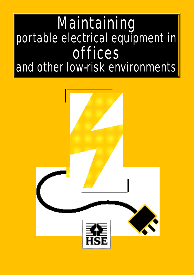# **Maintaining** *portable electrical equipment in portable electrical equipment in o ff i c e s and other low-risk environments*

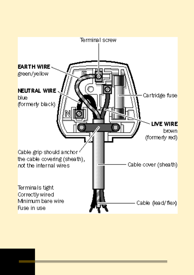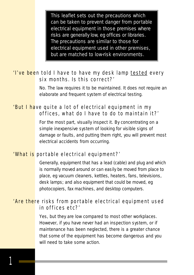*This leaflet sets out the precautions which can be taken to prevent danger from por table electrical equipment in those p remises where risks are generally low, eg offices or libraries. The precautions are similar to those for electrical equipment used in other premises, but are matched to low-risk environments.* 

## *'I've been told I have to have my desk lamp tested every* six months. Is this correct?'

No. The law requires it to be maintained. It does not require an elaborate and frequent system of electrical testing.

#### *'But I have quite a lot of electrical equipment in my o f fices, what do I have to do to maintain it?'*

For the most part, visually inspect it. By concentrating on a simple inexpensive system of looking for visible signs of damage or faults, and putting them right, you will prevent most electrical accidents from occurring.

#### *'What is por table electrical equipment?'*

Generally, equipment that has a lead (cable) and plug and which is normally moved around or can easily be moved from place to place, eg vacuum cleaners, kettles, heaters, fans, televisions, desk lamps; and also equipment that could be moved, eg photocopiers, fax machines, and desktop computers.

## *'Are there risks from portable electrical equipment used in of fices etc?'*

Yes, but they are low compared to most other workplaces. However, if you have never had an inspection system, or if maintenance has been neglected, there is a greater chance that some of the equipment has become dangerous and you will need to take some action.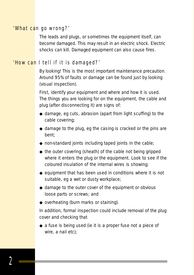#### *'What can go wrong?'*

The leads and plugs, or sometimes the equipment itself, can become damaged. This may result in an electric shock. Electric shocks can kill. Damaged equipment can also cause fires.

#### *'How can I tell if it is damaged?'*

By looking! This is the most important maintenance precaution. Around 95% of faults or damage can be found just by looking (visual inspection).

First, identify your equipment and where and how it is used. The things you are looking for on the equipment, the cable and plug (after disconnecting it) are signs of:

- ◆ damage, eg cuts, abrasion (apart from light scuffing) to the cable covering;
- $\bullet$  damage to the plug, eg the casing is cracked or the pins are bent;
- $\bullet$  non-standard joints including taped joints in the cable;
- ◆ the outer covering (sheath) of the cable not being gripped where it enters the plug or the equipment. Look to see if the coloured insulation of the internal wires is showing;
- $\bullet$  equipment that has been used in conditions where it is not suitable, eg a wet or dusty workplace;
- ◆ damage to the outer cover of the equipment or obvious loose parts or screws; and
- ◆ overheating (burn marks or staining).

In addition, formal inspection could include removal of the *plug* cover and checking that

◆ a fuse is being used (ie it is a proper fuse **not** a piece of wire, a nail etc);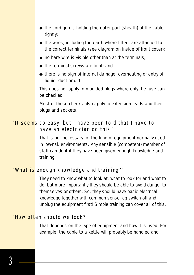- ◆ the cord grip is holding the *outer* part (sheath) of the cable tightly;
- $\bullet$  the wires, including the earth where fitted, are attached to the correct terminals (see diagram on inside of front cover);
- $\bullet$  no bare wire is visible other than at the terminals;
- $\triangle$  the terminal screws are tight; and
- ◆ there is no sign of internal damage, overheating or entry of liquid, dust or dirt.

This does *not* apply to moulded plugs where only the fuse can be checked.

Most of these checks also apply to extension leads and their plugs and sockets.

## *'It seems so easy, but I have been told that I have to have an electrician do this.'*

That is *not* necessary for the kind of equipment normally used in low-risk environments. Any sensible (competent) member of staff can do it if they have been given enough knowledge and training.

## *'What is enough knowledge and training?'*

They need to know what to look at, what to look for and what to do, but more importantly they should be able to avoid danger to themselves or others. So, they should have basic electrical knowledge together with common sense, eg switch off and unplug the equipment first! Simple training can cover all of this.

## *'How often should we look?'*

That depends on the type of equipment and how it is used. For example, the cable to a kettle will probably be handled and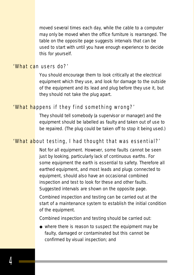moved several times each day, while the cable to a computer may only be moved when the office furniture is rearranged. The table on the opposite page suggests intervals that can be used to start with until you have enough experience to decide this for yourself.

#### *'What can users do?'*

You should encourage them to look critically at the electrical equipment which they use, and look for damage to the outside of the equipment and its lead and plug before they use it, but they should *not* take the plug apart.

#### *'What happens if they find something wrong?'*

They should tell somebody (a supervisor or manager) and the equipment should be labelled as faulty and taken out of use to be repaired. (The plug could be taken off to stop it being used.)

## *'What about testing, I had thought that was essential?'*

Not for all equipment. However, some faults cannot be seen just by looking, particularly lack of continuous earths. For some equipment the earth is essential to safety. Therefore all earthed equipment, and most leads and plugs connected to equipment, should also have an occasional combined inspection and test to look for these and other faults. Suggested intervals are shown on the opposite page.

Combined inspection and testing can be carried out at the start of a maintenance system to establish the initial condition of the equipment.

Combined inspection and testing should be carried out:

◆ where there is reason to suspect the equipment may be faulty, damaged or contaminated but this cannot be confirmed by visual inspection; and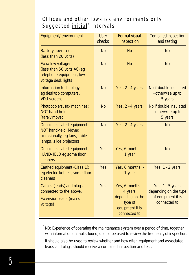# **Offices and other low-risk environments only** Suggested *initial*<sup>\*</sup> intervals

| Equipment/environment                                                                                          | <b>User</b><br>checks | <b>Formal visual</b><br>inspection                                                           | <b>Combined inspection</b><br>and testing                                         |
|----------------------------------------------------------------------------------------------------------------|-----------------------|----------------------------------------------------------------------------------------------|-----------------------------------------------------------------------------------|
| Battery-operated:<br>(less than 20 volts)                                                                      | <b>No</b>             | <b>No</b>                                                                                    | <b>No</b>                                                                         |
| Extra low voltage:<br>(less than 50 volts AC) eg<br>telephone equipment, low<br>voltage desk lights            | <b>No</b>             | <b>No</b>                                                                                    | <b>No</b>                                                                         |
| Information technology:<br>eg desktop computers,<br><b>VDU</b> screens                                         | <b>No</b>             | Yes, $2 - 4$ years                                                                           | No if double insulated<br>- otherwise up to<br>5 years                            |
| Photocopiers, fax machines:<br>NOT hand-held.<br><b>Rarely moved</b>                                           | <b>No</b>             | Yes, $2 - 4$ years                                                                           | No if double insulated<br>- otherwise up to<br>5 years                            |
| Double insulated equipment:<br>NOT hand-held. Moved<br>occasionally, eg fans, table<br>lamps, slide projectors | <b>No</b>             | Yes, 2 - 4 years                                                                             | <b>No</b>                                                                         |
| Double insulated equipment:<br>HAND-HELD eg some floor<br>cleaners                                             | <b>Yes</b>            | Yes, 6 months -<br>1 year                                                                    | <b>No</b>                                                                         |
| Earthed equipment (Class 1):<br>eg electric kettles, some floor<br>cleaners                                    | <b>Yes</b>            | Yes, 6 months -<br>1 year                                                                    | Yes, 1 - 2 years                                                                  |
| Cables (leads) and plugs<br>connected to the above.<br><b>Extension leads (mains</b><br>voltage)               | <b>Yes</b>            | Yes, 6 months -<br>4 years<br>depending on the<br>type of<br>equipment it is<br>connected to | Yes, $1 - 5$ years<br>depending on the type<br>of equipment it is<br>connected to |

*\* NB: Experience of operating the maintenance system over a period of time, together with information on faults found, should be used to review the frequency of inspection.* 

*It should also be used to review whether and how often equipment and associated leads and plugs should receive a combined inspection and test.*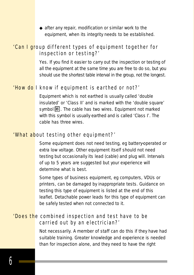◆ after any repair, modification or similar work to the equipment, when its integrity needs to be established.

## *'Can I group different types of equipment together for inspection or testing?'*

Yes. If you find it easier to carry out the inspection or testing of all the equipment at the same time you are free to do so, but you should use the shortest table interval in the group, not the longest.

## *'How do I know if equipment is ear thed or not?'*

Equipment which is not earthed is usually called 'double insulated' or 'Class II' and is marked with the 'double square' symbol  $\boxed{\blacksquare}$ . The cable has two wires. Equipment not marked with this symbol is usually earthed and is called 'Class I'. The cable has three wires.

#### *'What about testing other equipment?'*

Some equipment does not need testing, eg battery-operated or extra low voltage. Other equipment itself should not need testing but occasionally its lead (cable) and plug will. Intervals of up to 5 years are suggested but your experience will determine what is best.

Some types of business equipment, eg computers, VDUs or printers, can be damaged by inappropriate tests. Guidance on testing this type of equipment is listed at the end of this leaflet. Detachable power leads for this type of equipment can be safely tested when not connected to it.

### *'Does the combined inspection and test have to be c a rried out by an electrician?'*

Not necessarily. A member of staff can do this if they have had suitable training. Greater knowledge and experience is needed than for inspection alone, and they need to have the right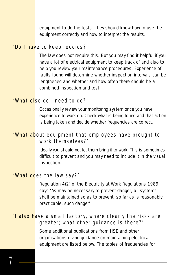equipment to do the tests. They should know how to use the equipment correctly and how to interpret the results.

## *'Do I have to keep re c o rd s ? '*

The law does not require this. But you may find it helpful if you have a lot of electrical equipment to keep track of and also to help you review your maintenance procedures. Experience of faults found will determine whether inspection intervals can be lengthened and whether and how often there should be a combined inspection and test.

#### *'What else do I need to do?'*

Occasionally review your monitoring system once you have experience to work on. Check what is being found and that action is being taken and decide whether frequencies are correct.

## *'What about equipment that employees have br ought to work themselves?'*

Ideally you should not let them bring it to work. This is sometimes difficult to prevent and you may need to include it in the visual inspection.

#### *'What does the law say?'*

Regulation 4(2) of the Electricity at Work Regulations 1989 says 'As may be necessary to prevent danger, all systems shall be maintained so as to prevent, so far as is reasonably practicable, such danger'.

## *'I also have a small factor y, where clearly the risks are g reater; what other guidance is there ? '*

Some additional publications from HSE and other organisations giving guidance on maintaining electrical equipment are listed below. The tables of frequencies for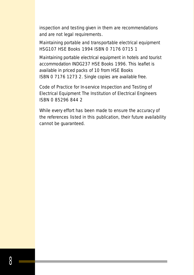inspection and testing given in them are recommendations and are not legal requirements.

*Maintaining portable and transportable electrical equipment*  HSG107 HSE Books 1994 ISBN 0 7176 0715 1

*Maintaining portable electrical equipment in hotels and tourist accommodation* INDG237 HSE Books 1996. This leaflet is available in priced packs of 10 from HSE Books ISBN 0 7176 1273 2. Single copies are available free.

*Code of Practice for In-service Inspection and Testing of Electrical Equipment* The Institution of Electrical Engineers ISBN 0 85296 844 2

While every effort has been made to ensure the accuracy of the references listed in this publication, their future availability cannot be guaranteed.